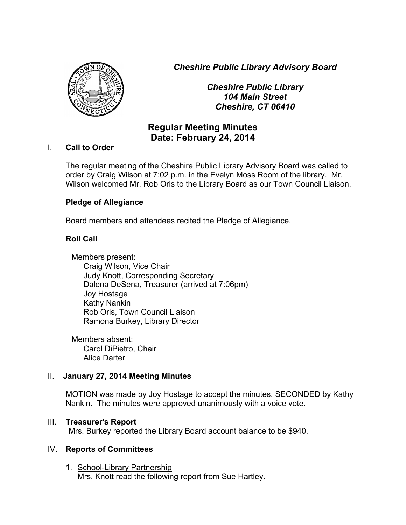*Cheshire Public Library Advisory Board*



*Cheshire Public Library 104 Main Street Cheshire, CT 06410*

# **Regular Meeting Minutes Date: February 24, 2014**

#### I. **Call to Order**

The regular meeting of the Cheshire Public Library Advisory Board was called to order by Craig Wilson at 7:02 p.m. in the Evelyn Moss Room of the library. Mr. Wilson welcomed Mr. Rob Oris to the Library Board as our Town Council Liaison.

## **Pledge of Allegiance**

Board members and attendees recited the Pledge of Allegiance.

# **Roll Call**

Members present: Craig Wilson, Vice Chair Judy Knott, Corresponding Secretary Dalena DeSena, Treasurer (arrived at 7:06pm) Joy Hostage Kathy Nankin Rob Oris, Town Council Liaison Ramona Burkey, Library Director

Members absent: Carol DiPietro, Chair Alice Darter

#### II. **January 27, 2014 Meeting Minutes**

MOTION was made by Joy Hostage to accept the minutes, SECONDED by Kathy Nankin. The minutes were approved unanimously with a voice vote.

#### III. **Treasurer's Report**

Mrs. Burkey reported the Library Board account balance to be \$940.

#### IV. **Reports of Committees**

1. School-Library Partnership Mrs. Knott read the following report from Sue Hartley.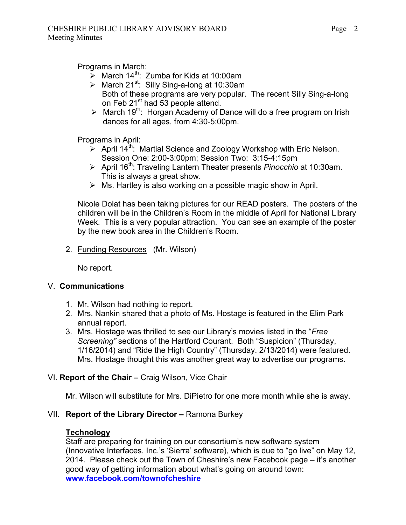Programs in March:

- $\geq$  March 14<sup>th</sup>: Zumba for Kids at 10:00am
- $\geq$  March 21<sup>st</sup>: Silly Sing-a-long at 10:30am Both of these programs are very popular. The recent Silly Sing-a-long on Feb 21<sup>st</sup> had 53 people attend.
- $\triangleright$  March 19<sup>th</sup>: Horgan Academy of Dance will do a free program on Irish dances for all ages, from 4:30-5:00pm.

Programs in April:

- $\sum$  April 14<sup>th</sup>: Martial Science and Zoology Workshop with Eric Nelson. Session One: 2:00-3:00pm; Session Two: 3:15-4:15pm
- > April 16<sup>th</sup>: Traveling Lantern Theater presents *Pinocchio* at 10:30am. This is always a great show.
- $\triangleright$  Ms. Hartley is also working on a possible magic show in April.

Nicole Dolat has been taking pictures for our READ posters. The posters of the children will be in the Children's Room in the middle of April for National Library Week. This is a very popular attraction. You can see an example of the poster by the new book area in the Children's Room.

2. Funding Resources (Mr. Wilson)

No report.

# V. **Communications**

- 1. Mr. Wilson had nothing to report.
- 2. Mrs. Nankin shared that a photo of Ms. Hostage is featured in the Elim Park annual report.
- 3. Mrs. Hostage was thrilled to see our Library's movies listed in the "*Free Screening"* sections of the Hartford Courant. Both "Suspicion" (Thursday, 1/16/2014) and "Ride the High Country" (Thursday. 2/13/2014) were featured. Mrs. Hostage thought this was another great way to advertise our programs.

# VI. **Report of the Chair –** Craig Wilson, Vice Chair

Mr. Wilson will substitute for Mrs. DiPietro for one more month while she is away.

# VII. **Report of the Library Director –** Ramona Burkey

#### **Technology**

Staff are preparing for training on our consortium's new software system (Innovative Interfaces, Inc.'s 'Sierra' software), which is due to "go live" on May 12, 2014. Please check out the Town of Cheshire's new Facebook page – it's another good way of getting information about what's going on around town: **www.facebook.com/townofcheshire**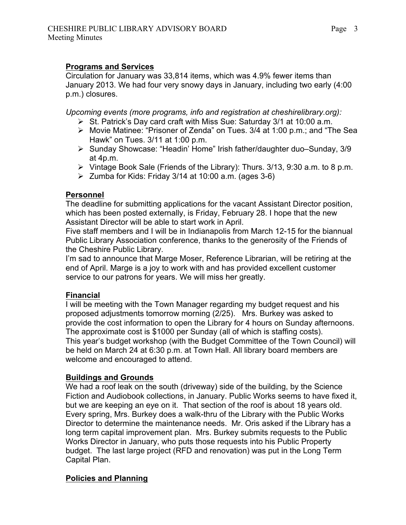#### **Programs and Services**

Circulation for January was 33,814 items, which was 4.9% fewer items than January 2013. We had four very snowy days in January, including two early (4:00 p.m.) closures.

*Upcoming events (more programs, info and registration at cheshirelibrary.org):*

- $\triangleright$  St. Patrick's Day card craft with Miss Sue: Saturday 3/1 at 10:00 a.m.
- ! Movie Matinee: "Prisoner of Zenda" on Tues. 3/4 at 1:00 p.m.; and "The Sea Hawk" on Tues. 3/11 at 1:00 p.m.
- ! Sunday Showcase: "Headin' Home" Irish father/daughter duo–Sunday, 3/9 at 4p.m.
- $\triangleright$  Vintage Book Sale (Friends of the Library): Thurs. 3/13, 9:30 a.m. to 8 p.m.
- $\geq$  Zumba for Kids: Friday 3/14 at 10:00 a.m. (ages 3-6)

## **Personnel**

The deadline for submitting applications for the vacant Assistant Director position, which has been posted externally, is Friday, February 28. I hope that the new Assistant Director will be able to start work in April.

Five staff members and I will be in Indianapolis from March 12-15 for the biannual Public Library Association conference, thanks to the generosity of the Friends of the Cheshire Public Library.

I'm sad to announce that Marge Moser, Reference Librarian, will be retiring at the end of April. Marge is a joy to work with and has provided excellent customer service to our patrons for years. We will miss her greatly.

# **Financial**

I will be meeting with the Town Manager regarding my budget request and his proposed adjustments tomorrow morning (2/25). Mrs. Burkey was asked to provide the cost information to open the Library for 4 hours on Sunday afternoons. The approximate cost is \$1000 per Sunday (all of which is staffing costs). This year's budget workshop (with the Budget Committee of the Town Council) will be held on March 24 at 6:30 p.m. at Town Hall. All library board members are welcome and encouraged to attend.

# **Buildings and Grounds**

We had a roof leak on the south (driveway) side of the building, by the Science Fiction and Audiobook collections, in January. Public Works seems to have fixed it, but we are keeping an eye on it. That section of the roof is about 18 years old. Every spring, Mrs. Burkey does a walk-thru of the Library with the Public Works Director to determine the maintenance needs. Mr. Oris asked if the Library has a long term capital improvement plan. Mrs. Burkey submits requests to the Public Works Director in January, who puts those requests into his Public Property budget. The last large project (RFD and renovation) was put in the Long Term Capital Plan.

# **Policies and Planning**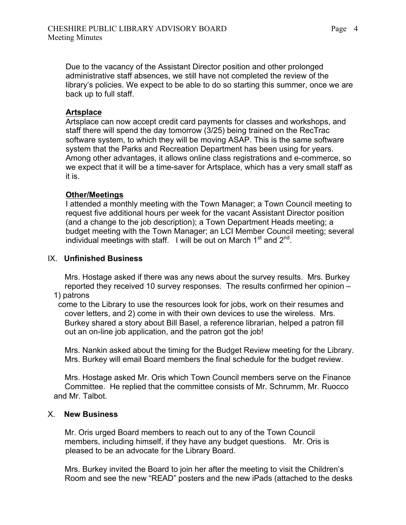Due to the vacancy of the Assistant Director position and other prolonged administrative staff absences, we still have not completed the review of the library's policies. We expect to be able to do so starting this summer, once we are back up to full staff.

#### **Artsplace**

Artsplace can now accept credit card payments for classes and workshops, and staff there will spend the day tomorrow (3/25) being trained on the RecTrac software system, to which they will be moving ASAP. This is the same software system that the Parks and Recreation Department has been using for years. Among other advantages, it allows online class registrations and e-commerce, so we expect that it will be a time-saver for Artsplace, which has a very small staff as it is.

#### **Other/Meetings**

I attended a monthly meeting with the Town Manager; a Town Council meeting to request five additional hours per week for the vacant Assistant Director position (and a change to the job description); a Town Department Heads meeting; a budget meeting with the Town Manager; an LCI Member Council meeting; several individual meetings with staff. I will be out on March  $1<sup>st</sup>$  and  $2<sup>nd</sup>$ .

#### IX. **Unfinished Business**

 Mrs. Hostage asked if there was any news about the survey results. Mrs. Burkey reported they received 10 survey responses. The results confirmed her opinion –

- 1) patrons
- come to the Library to use the resources look for jobs, work on their resumes and cover letters, and 2) come in with their own devices to use the wireless. Mrs. Burkey shared a story about Bill Basel, a reference librarian, helped a patron fill out an on-line job application, and the patron got the job!

 Mrs. Nankin asked about the timing for the Budget Review meeting for the Library. Mrs. Burkey will email Board members the final schedule for the budget review.

 Mrs. Hostage asked Mr. Oris which Town Council members serve on the Finance Committee. He replied that the committee consists of Mr. Schrumm, Mr. Ruocco and Mr. Talbot.

#### X. **New Business**

 Mr. Oris urged Board members to reach out to any of the Town Council members, including himself, if they have any budget questions. Mr. Oris is pleased to be an advocate for the Library Board.

 Mrs. Burkey invited the Board to join her after the meeting to visit the Children's Room and see the new "READ" posters and the new iPads (attached to the desks